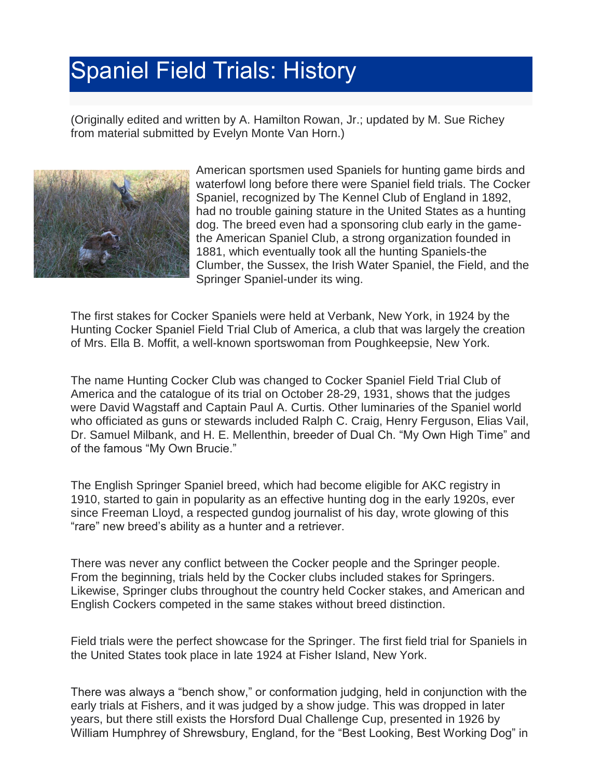## Spaniel Field Trials: History

(Originally edited and written by A. Hamilton Rowan, Jr.; updated by M. Sue Richey from material submitted by Evelyn Monte Van Horn.)



American sportsmen used Spaniels for hunting game birds and waterfowl long before there were Spaniel field trials. The Cocker Spaniel, recognized by The Kennel Club of England in 1892, had no trouble gaining stature in the United States as a hunting dog. The breed even had a sponsoring club early in the gamethe American Spaniel Club, a strong organization founded in 1881, which eventually took all the hunting Spaniels-the Clumber, the Sussex, the Irish Water Spaniel, the Field, and the Springer Spaniel-under its wing.

The first stakes for Cocker Spaniels were held at Verbank, New York, in 1924 by the Hunting Cocker Spaniel Field Trial Club of America, a club that was largely the creation of Mrs. Ella B. Moffit, a well-known sportswoman from Poughkeepsie, New York.

The name Hunting Cocker Club was changed to Cocker Spaniel Field Trial Club of America and the catalogue of its trial on October 28-29, 1931, shows that the judges were David Wagstaff and Captain Paul A. Curtis. Other luminaries of the Spaniel world who officiated as guns or stewards included Ralph C. Craig, Henry Ferguson, Elias Vail, Dr. Samuel Milbank, and H. E. Mellenthin, breeder of Dual Ch. "My Own High Time" and of the famous "My Own Brucie."

The English Springer Spaniel breed, which had become eligible for AKC registry in 1910, started to gain in popularity as an effective hunting dog in the early 1920s, ever since Freeman Lloyd, a respected gundog journalist of his day, wrote glowing of this "rare" new breed's ability as a hunter and a retriever.

There was never any conflict between the Cocker people and the Springer people. From the beginning, trials held by the Cocker clubs included stakes for Springers. Likewise, Springer clubs throughout the country held Cocker stakes, and American and English Cockers competed in the same stakes without breed distinction.

Field trials were the perfect showcase for the Springer. The first field trial for Spaniels in the United States took place in late 1924 at Fisher Island, New York.

There was always a "bench show," or conformation judging, held in conjunction with the early trials at Fishers, and it was judged by a show judge. This was dropped in later years, but there still exists the Horsford Dual Challenge Cup, presented in 1926 by William Humphrey of Shrewsbury, England, for the "Best Looking, Best Working Dog" in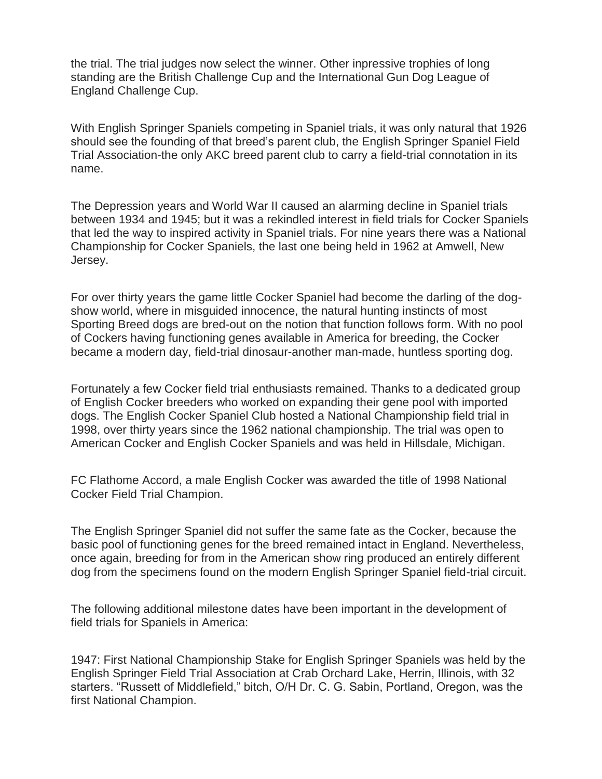the trial. The trial judges now select the winner. Other inpressive trophies of long standing are the British Challenge Cup and the International Gun Dog League of England Challenge Cup.

With English Springer Spaniels competing in Spaniel trials, it was only natural that 1926 should see the founding of that breed's parent club, the English Springer Spaniel Field Trial Association-the only AKC breed parent club to carry a field-trial connotation in its name.

The Depression years and World War II caused an alarming decline in Spaniel trials between 1934 and 1945; but it was a rekindled interest in field trials for Cocker Spaniels that led the way to inspired activity in Spaniel trials. For nine years there was a National Championship for Cocker Spaniels, the last one being held in 1962 at Amwell, New Jersey.

For over thirty years the game little Cocker Spaniel had become the darling of the dogshow world, where in misguided innocence, the natural hunting instincts of most Sporting Breed dogs are bred-out on the notion that function follows form. With no pool of Cockers having functioning genes available in America for breeding, the Cocker became a modern day, field-trial dinosaur-another man-made, huntless sporting dog.

Fortunately a few Cocker field trial enthusiasts remained. Thanks to a dedicated group of English Cocker breeders who worked on expanding their gene pool with imported dogs. The English Cocker Spaniel Club hosted a National Championship field trial in 1998, over thirty years since the 1962 national championship. The trial was open to American Cocker and English Cocker Spaniels and was held in Hillsdale, Michigan.

FC Flathome Accord, a male English Cocker was awarded the title of 1998 National Cocker Field Trial Champion.

The English Springer Spaniel did not suffer the same fate as the Cocker, because the basic pool of functioning genes for the breed remained intact in England. Nevertheless, once again, breeding for from in the American show ring produced an entirely different dog from the specimens found on the modern English Springer Spaniel field-trial circuit.

The following additional milestone dates have been important in the development of field trials for Spaniels in America:

1947: First National Championship Stake for English Springer Spaniels was held by the English Springer Field Trial Association at Crab Orchard Lake, Herrin, Illinois, with 32 starters. "Russett of Middlefield," bitch, O/H Dr. C. G. Sabin, Portland, Oregon, was the first National Champion.